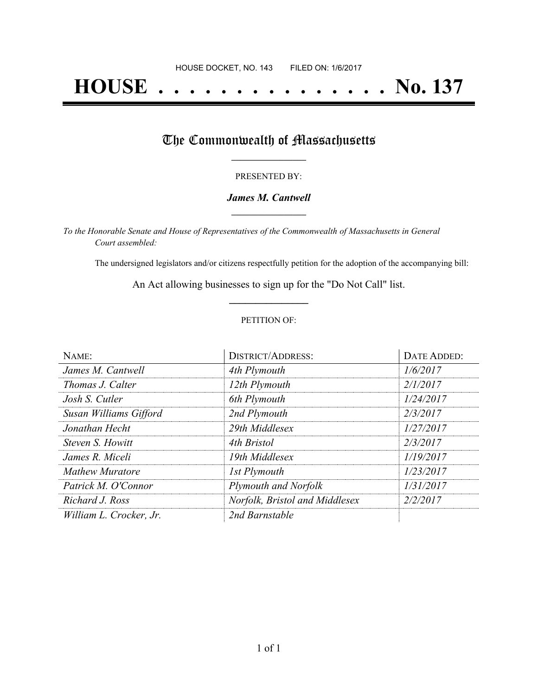# **HOUSE . . . . . . . . . . . . . . . No. 137**

## The Commonwealth of Massachusetts

#### PRESENTED BY:

#### *James M. Cantwell* **\_\_\_\_\_\_\_\_\_\_\_\_\_\_\_\_\_**

*To the Honorable Senate and House of Representatives of the Commonwealth of Massachusetts in General Court assembled:*

The undersigned legislators and/or citizens respectfully petition for the adoption of the accompanying bill:

An Act allowing businesses to sign up for the "Do Not Call" list. **\_\_\_\_\_\_\_\_\_\_\_\_\_\_\_**

#### PETITION OF:

| NAME:                   | <b>DISTRICT/ADDRESS:</b>       | DATE ADDED: |
|-------------------------|--------------------------------|-------------|
| James M. Cantwell       | 4th Plymouth                   | 1/6/2017    |
| Thomas J. Calter        | 12th Plymouth                  | 2/1/2017    |
| Josh S. Cutler          | 6th Plymouth                   | 1/24/2017   |
| Susan Williams Gifford  | 2nd Plymouth                   | 2/3/2017    |
| Jonathan Hecht          | 29th Middlesex                 | 1/27/2017   |
| Steven S. Howitt        | 4th Bristol                    | 2/3/2017    |
| James R. Miceli         | 19th Middlesex                 | 1/19/2017   |
| <b>Mathew Muratore</b>  | 1st Plymouth                   | 1/23/2017   |
| Patrick M. O'Connor     | Plymouth and Norfolk           | 1/31/2017   |
| Richard J. Ross         | Norfolk, Bristol and Middlesex | 2/2/2017    |
| William L. Crocker, Jr. | 2nd Barnstable                 |             |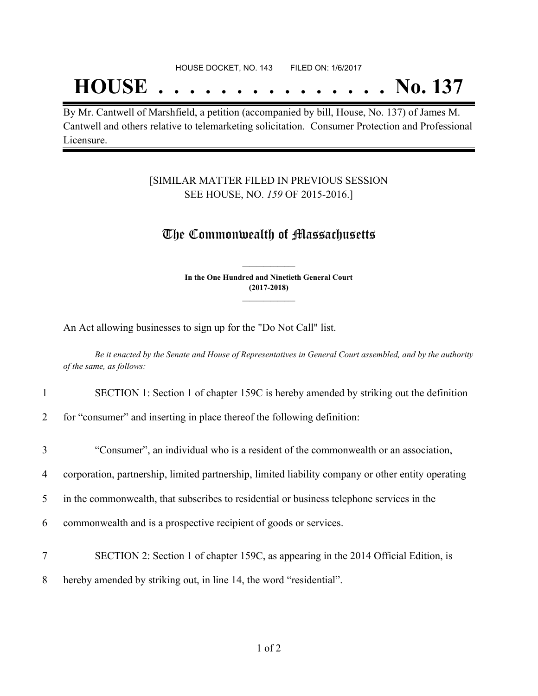## **HOUSE . . . . . . . . . . . . . . . No. 137**

By Mr. Cantwell of Marshfield, a petition (accompanied by bill, House, No. 137) of James M. Cantwell and others relative to telemarketing solicitation. Consumer Protection and Professional Licensure.

#### [SIMILAR MATTER FILED IN PREVIOUS SESSION SEE HOUSE, NO. *159* OF 2015-2016.]

### The Commonwealth of Massachusetts

**In the One Hundred and Ninetieth General Court (2017-2018) \_\_\_\_\_\_\_\_\_\_\_\_\_\_\_**

**\_\_\_\_\_\_\_\_\_\_\_\_\_\_\_**

An Act allowing businesses to sign up for the "Do Not Call" list.

Be it enacted by the Senate and House of Representatives in General Court assembled, and by the authority *of the same, as follows:*

- 1 SECTION 1: Section 1 of chapter 159C is hereby amended by striking out the definition
- 2 for "consumer" and inserting in place thereof the following definition:

| 3 | "Consumer", an individual who is a resident of the commonwealth or an association,                 |
|---|----------------------------------------------------------------------------------------------------|
| 4 | corporation, partnership, limited partnership, limited liability company or other entity operating |
| 5 | in the commonwealth, that subscribes to residential or business telephone services in the          |
| 6 | commonwealth and is a prospective recipient of goods or services.                                  |
| 7 | SECTION 2: Section 1 of chapter 159C, as appearing in the 2014 Official Edition, is                |
| 8 | hereby amended by striking out, in line 14, the word "residential".                                |